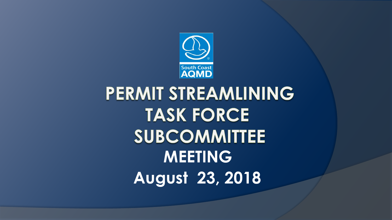

# PERMIT STREAMLINING **TASK FORCE SUBCOMMITTEE MEETING August 23, 2018**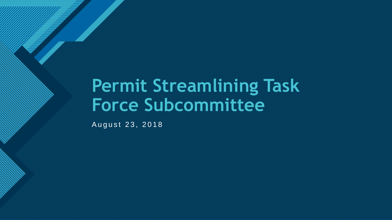## **Permit Streamlining Task Force Subcommittee**

August 23, 2018

**Click to edit Master title style**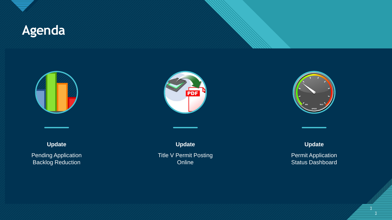

#### **Click to edit Master title style Agenda**



**Update**

Pending Application Backlog Reduction



**Update** Title V Permit Posting Online



**Update**

Permit Application Status Dashboard

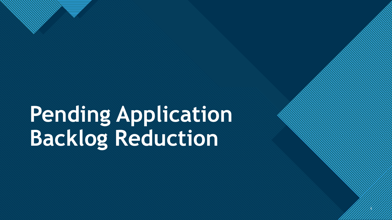# **Pending Application Backlog Reduction**

4

4

**Click to edit Master the State of the State of the State of the State of the State of the State of the State of the State of the State of the State of the State of the State of the State of the State of the State of the S**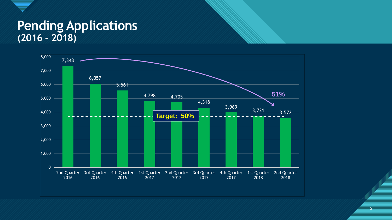#### **Pending Applications (2016 – 2018)**

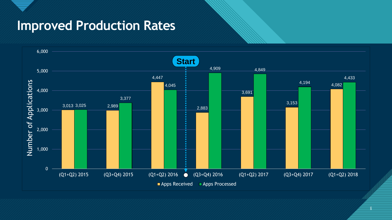### **Improved Production Rates**



6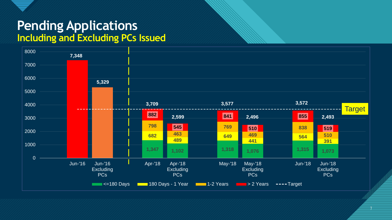

#### **Pending Applications Including and Excluding PCs Issued**



7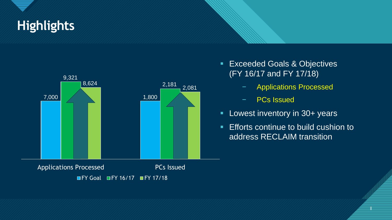## **Click to edit Master title style Highlights**



 $\blacksquare$  FY Goal  $\blacksquare$  FY 16/17  $\blacksquare$  FY 17/18

- **Exceeded Goals & Objectives** (FY 16/17 and FY 17/18)
	- − Applications Processed
	- − PCs Issued
- **Lowest inventory in 30+ years**
- **Efforts continue to build cushion to** address RECLAIM transition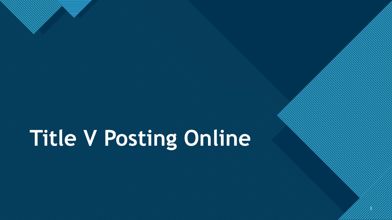# **Title V Posting Online**

9 9

**Click to edit Master the State of the State of the State of the State of the State of the State of the State of the State of the State of the State of the State of the State of the State of the State of the State of the S**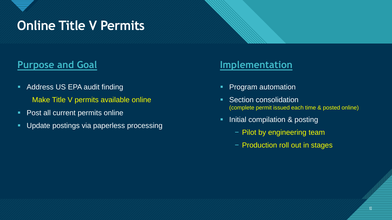### **Conline Title V Permits**

#### **Purpose and Goal Implementation**

- **Address US EPA audit finding** 
	- Make Title V permits available online
- **Post all current permits online**
- **Update postings via paperless processing**

- **Program automation**
- **Section consolidation** (complete permit issued each time & posted online)
- **Initial compilation & posting** 
	- − Pilot by engineering team
	- − Production roll out in stages

|<br>|<br>| 10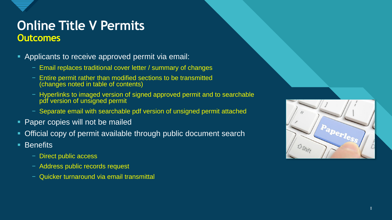

#### **Conline Title V Permits Outcomes**

- Applicants to receive approved permit via email:
	- − Email replaces traditional cover letter / summary of changes
	- − Entire permit rather than modified sections to be transmitted (changes noted in table of contents)
	- − Hyperlinks to imaged version of signed approved permit and to searchable pdf version of unsigned permit
	- − Separate email with searchable pdf version of unsigned permit attached
- **Paper copies will not be mailed**
- Official copy of permit available through public document search
- Benefits
	- − Direct public access
	- − Address public records request
	- − Quicker turnaround via email transmittal

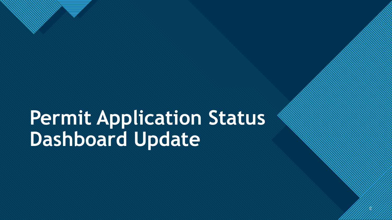# **Permit Application Status Dashboard Update**

 $\mathscr{D}$ 

**Click to edit Master the State of the State of the State of the State of the State of the State of the State of the State of the State of the State of the State of the State of the State of the State of the State of the S**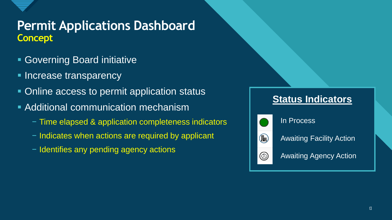

#### **Permit Applications Dashboard Concept**

- Governing Board initiative
- **Increase transparency**
- Online access to permit application status
- **Additional communication mechanism** 
	- − Time elapsed & application completeness indicators
	- − Indicates when actions are required by applicant
	- − Identifies any pending agency actions

#### **Status Indicators**



 $\circledR$ 

In Process

Awaiting Facility Action

◉

Awaiting Agency Action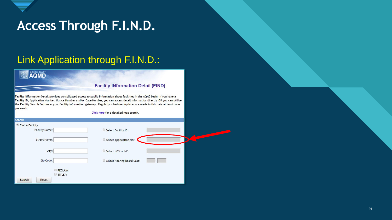

### Access Through F.I.N.D.

#### Link Application through F.I.N.D.:

#### **O AQMD**

#### **Facility INformation Detail (FIND)**

Facility INformation Detail provides consolidated access to public information about facilities in the AQMD basin. If you have a Facility ID, Application Number, Notice Number and/or Case Number, you can access detail information directly, OR you can utilize the Facility Search feature as your facility information gateway. Regularly scheduled updates are made to this data at least once per week

Click here for a detailed map search.

| <b>Search</b>         |                |                            |  |
|-----------------------|----------------|----------------------------|--|
| ● Find a Facility     |                |                            |  |
| <b>Facility Name:</b> |                | Select Facility ID:        |  |
| <b>Street Name:</b>   |                | Select Application Nbr:    |  |
| City:                 |                | Select NOV or NC:          |  |
| Zip Code:             |                | Select Hearing Board Case: |  |
|                       | RECLAIM        |                            |  |
|                       | <b>TITLE V</b> |                            |  |
| Reset<br>Search       |                |                            |  |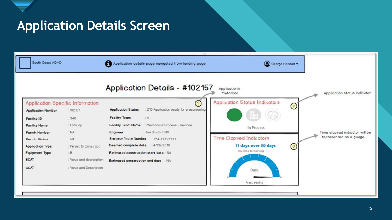

### **Application Details Screen**